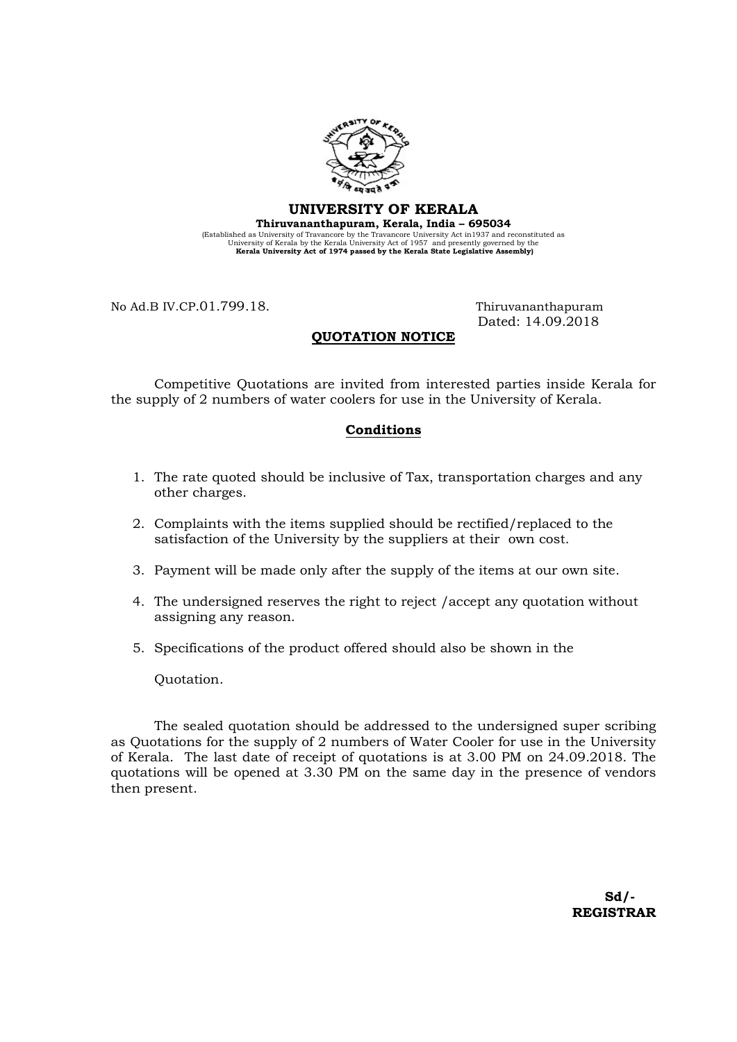

### UNIVERSITY OF KERALA

Thiruvananthapuram, Kerala, India – 695034 (Established as University of Travancore by the Travancore University Act in1937 and reconstituted as University of Kerala by the Kerala University Act of 1957 and presently governed by the Kerala University Act of 1974 passed by the Kerala State Legislative Assembly)

No Ad.B IV.CP.01.799.18. Thiruvananthapuram

Dated: 14.09.2018

## QUOTATION NOTICE

 Competitive Quotations are invited from interested parties inside Kerala for the supply of 2 numbers of water coolers for use in the University of Kerala.

#### Conditions

- 1. The rate quoted should be inclusive of Tax, transportation charges and any other charges.
- 2. Complaints with the items supplied should be rectified/replaced to the satisfaction of the University by the suppliers at their own cost.
- 3. Payment will be made only after the supply of the items at our own site.
- 4. The undersigned reserves the right to reject /accept any quotation without assigning any reason.
- 5. Specifications of the product offered should also be shown in the

Quotation.

 The sealed quotation should be addressed to the undersigned super scribing as Quotations for the supply of 2 numbers of Water Cooler for use in the University of Kerala. The last date of receipt of quotations is at 3.00 PM on 24.09.2018. The quotations will be opened at 3.30 PM on the same day in the presence of vendors then present.

 Sd/- REGISTRAR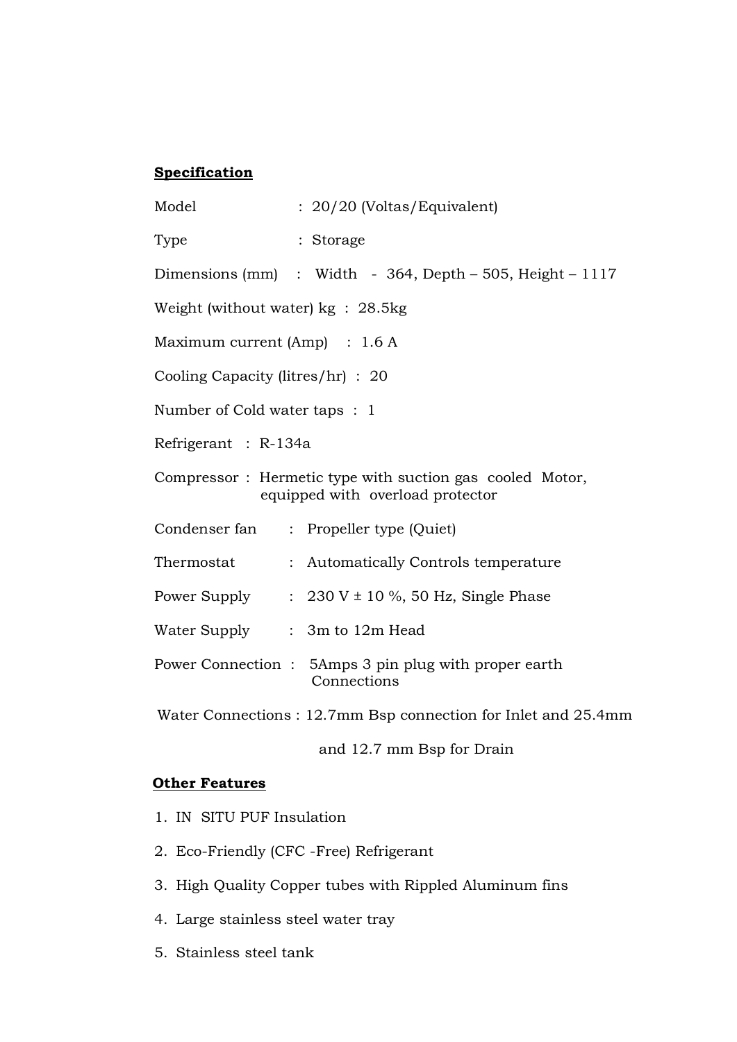# **Specification**

| Model                                                                                        |  | : 20/20 (Voltas/Equivalent)                                          |
|----------------------------------------------------------------------------------------------|--|----------------------------------------------------------------------|
| Type                                                                                         |  | : Storage                                                            |
|                                                                                              |  | Dimensions (mm) : Width - 364, Depth – 505, Height – 1117            |
| Weight (without water) $kg : 28.5kg$                                                         |  |                                                                      |
| Maximum current $(Amp)$ : 1.6 A                                                              |  |                                                                      |
| Cooling Capacity (litres/hr) : 20                                                            |  |                                                                      |
| Number of Cold water taps : 1                                                                |  |                                                                      |
| Refrigerant : R-134a                                                                         |  |                                                                      |
| Compressor: Hermetic type with suction gas cooled Motor,<br>equipped with overload protector |  |                                                                      |
|                                                                                              |  | Condenser fan : Propeller type (Quiet)                               |
| Thermostat                                                                                   |  | : Automatically Controls temperature                                 |
|                                                                                              |  | Power Supply : $230 V \pm 10 %$ , 50 Hz, Single Phase                |
| Water Supply : 3m to 12m Head                                                                |  |                                                                      |
|                                                                                              |  | Power Connection : 5Amps 3 pin plug with proper earth<br>Connections |
|                                                                                              |  | Water Connections: 12.7mm Bsp connection for Inlet and 25.4mm        |

# **Other Features**

- 1. IN SITU PUF Insulation
- 2. Eco-Friendly (CFC -Free) Refrigerant
- 3. High Quality Copper tubes with Rippled Aluminum fins

and 12.7 mm Bsp for Drain

- 4. Large stainless steel water tray
- 5. Stainless steel tank